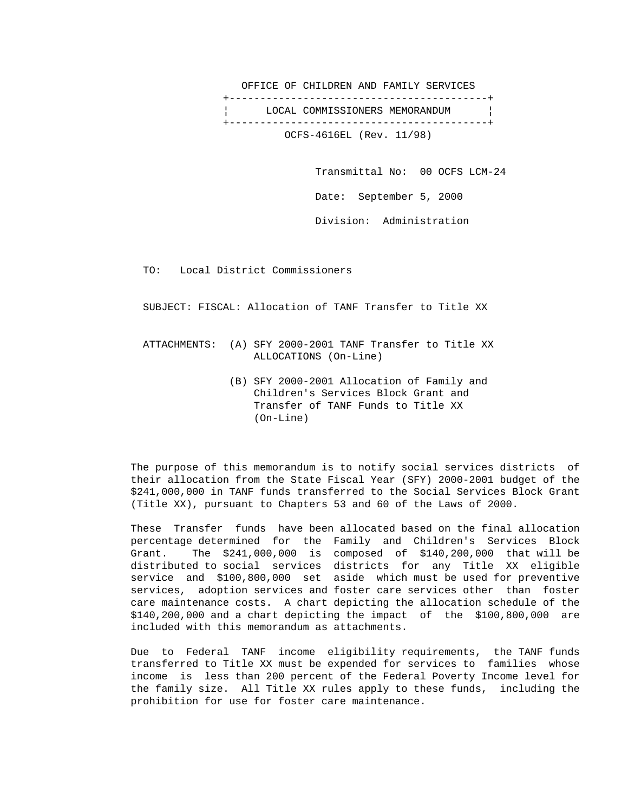OFFICE OF CHILDREN AND FAMILY SERVICES +------------------------------------------+ LOCAL COMMISSIONERS MEMORANDUM +------------------------------------------+ OCFS-4616EL (Rev. 11/98)

> Transmittal No: 00 OCFS LCM-24 Date: September 5, 2000 Division: Administration

TO: Local District Commissioners

SUBJECT: FISCAL: Allocation of TANF Transfer to Title XX

 ATTACHMENTS: (A) SFY 2000-2001 TANF Transfer to Title XX ALLOCATIONS (On-Line)

> (B) SFY 2000-2001 Allocation of Family and Children's Services Block Grant and Transfer of TANF Funds to Title XX (On-Line)

 The purpose of this memorandum is to notify social services districts of their allocation from the State Fiscal Year (SFY) 2000-2001 budget of the \$241,000,000 in TANF funds transferred to the Social Services Block Grant (Title XX), pursuant to Chapters 53 and 60 of the Laws of 2000.

 These Transfer funds have been allocated based on the final allocation percentage determined for the Family and Children's Services Block Grant. The \$241,000,000 is composed of \$140,200,000 that will be distributed to social services districts for any Title XX eligible service and \$100,800,000 set aside which must be used for preventive services, adoption services and foster care services other than foster care maintenance costs. A chart depicting the allocation schedule of the \$140,200,000 and a chart depicting the impact of the \$100,800,000 are included with this memorandum as attachments.

 Due to Federal TANF income eligibility requirements, the TANF funds transferred to Title XX must be expended for services to families whose income is less than 200 percent of the Federal Poverty Income level for the family size. All Title XX rules apply to these funds, including the prohibition for use for foster care maintenance.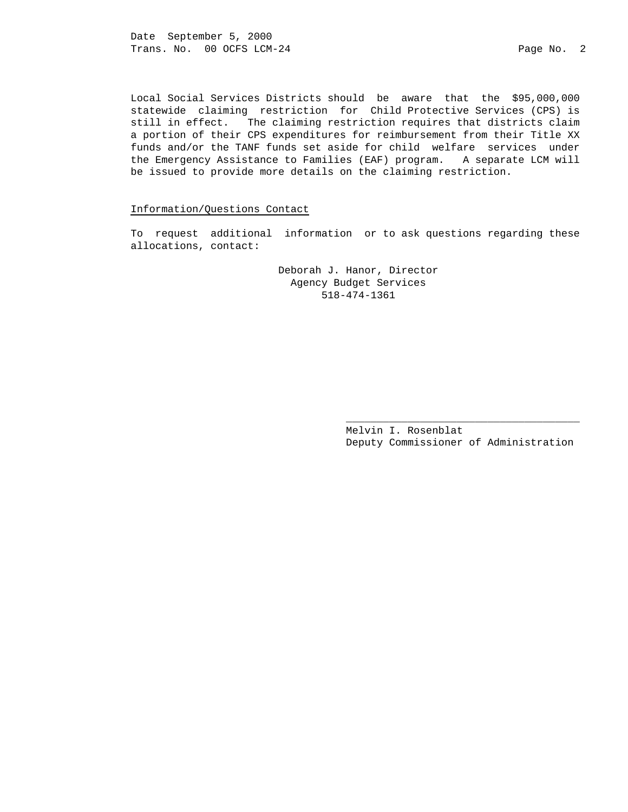Date September 5, 2000 Trans. No. 00 OCFS LCM-24 Page No. 2

 Local Social Services Districts should be aware that the \$95,000,000 statewide claiming restriction for Child Protective Services (CPS) is still in effect. The claiming restriction requires that districts claim a portion of their CPS expenditures for reimbursement from their Title XX funds and/or the TANF funds set aside for child welfare services under the Emergency Assistance to Families (EAF) program. A separate LCM will be issued to provide more details on the claiming restriction.

### Information/Questions Contact

 To request additional information or to ask questions regarding these allocations, contact:

> Deborah J. Hanor, Director Agency Budget Services 518-474-1361

 $\overline{\phantom{a}}$  , and the state of the state of the state of the state of the state of the state of the state of the state of the state of the state of the state of the state of the state of the state of the state of the stat

 Melvin I. Rosenblat Deputy Commissioner of Administration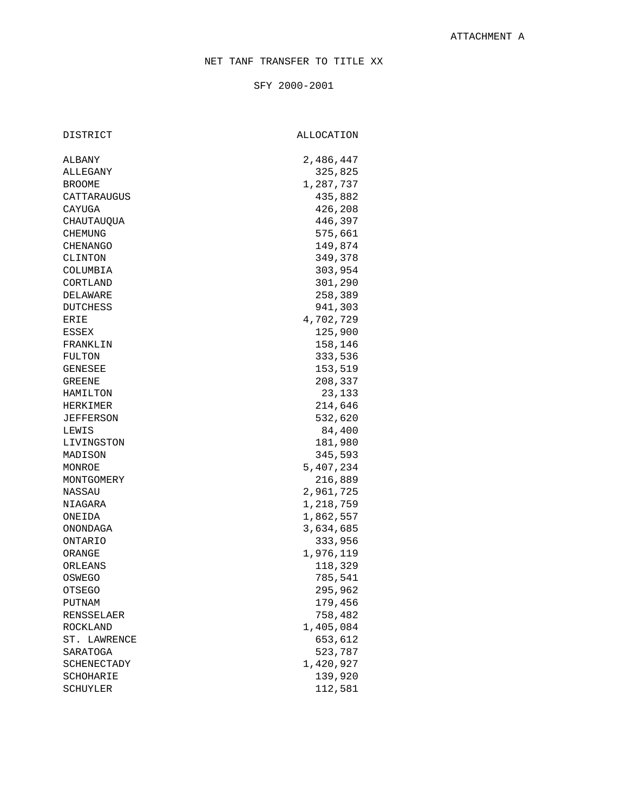SFY 2000-2001

DISTRICT ALLOCATION

| ALBANY           | 2,486,447 |
|------------------|-----------|
| ALLEGANY         | 325,825   |
| <b>BROOME</b>    | 1,287,737 |
| CATTARAUGUS      | 435,882   |
| CAYUGA           | 426,208   |
| CHAUTAUQUA       | 446,397   |
| CHEMUNG          | 575,661   |
| CHENANGO         | 149,874   |
| CLINTON          | 349,378   |
| COLUMBIA         | 303,954   |
| CORTLAND         | 301,290   |
| DELAWARE         | 258,389   |
| DUTCHESS         | 941,303   |
| ERIE             | 4,702,729 |
| ESSEX            | 125,900   |
| FRANKLIN         | 158,146   |
| FULTON           | 333,536   |
| <b>GENESEE</b>   | 153,519   |
| GREENE           | 208,337   |
| HAMILTON         | 23,133    |
| HERKIMER         | 214,646   |
| <b>JEFFERSON</b> | 532,620   |
| LEWIS            | 84,400    |
| LIVINGSTON       | 181,980   |
| MADISON          | 345,593   |
| MONROE           | 5,407,234 |
| MONTGOMERY       | 216,889   |
| NASSAU           | 2,961,725 |
| NIAGARA          | 1,218,759 |
| ONEIDA           | 1,862,557 |
| ONONDAGA         | 3,634,685 |
| ONTARIO          | 333,956   |
| ORANGE           | 1,976,119 |
| ORLEANS          | 118,329   |
| OSWEGO           | 785,541   |
| OTSEGO           | 295,962   |
| PUTNAM           | 179,456   |
| RENSSELAER       | 758,482   |
| ROCKLAND         | 1,405,084 |
| ST. LAWRENCE     | 653,612   |
| SARATOGA         | 523,787   |
| SCHENECTADY      | 1,420,927 |
| SCHOHARIE        | 139,920   |
| SCHUYLER         | 112,581   |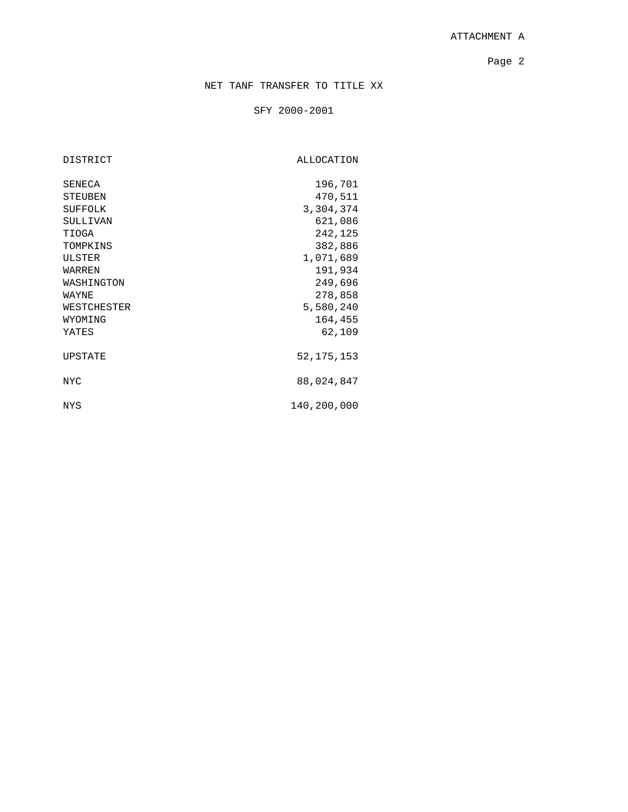# ATTACHMENT A

Page 2 and 2 and 2 and 2 and 2 and 2 and 2 and 2 and 2 and 2 and 2 and 2 and 2 and 2 and 2 and 2 and 2 and 2 and 2

# NET TANF TRANSFER TO TITLE XX

## SFY 2000-2001

DISTRICT ALLOCATION

| SENECA         | 196,701      |
|----------------|--------------|
| <b>STEUBEN</b> | 470,511      |
| <b>SUFFOLK</b> | 3,304,374    |
| SULLIVAN       | 621,086      |
| TIOGA          | 242,125      |
| TOMPKINS       | 382,886      |
| ULSTER         | 1,071,689    |
| WARREN         | 191,934      |
| WASHINGTON     | 249,696      |
| WAYNE          | 278,858      |
| WESTCHESTER    | 5,580,240    |
| WYOMING        | 164,455      |
| YATES          | 62,109       |
| UPSTATE        | 52, 175, 153 |
| NYC.           | 88,024,847   |
| NYS            | 140,200,000  |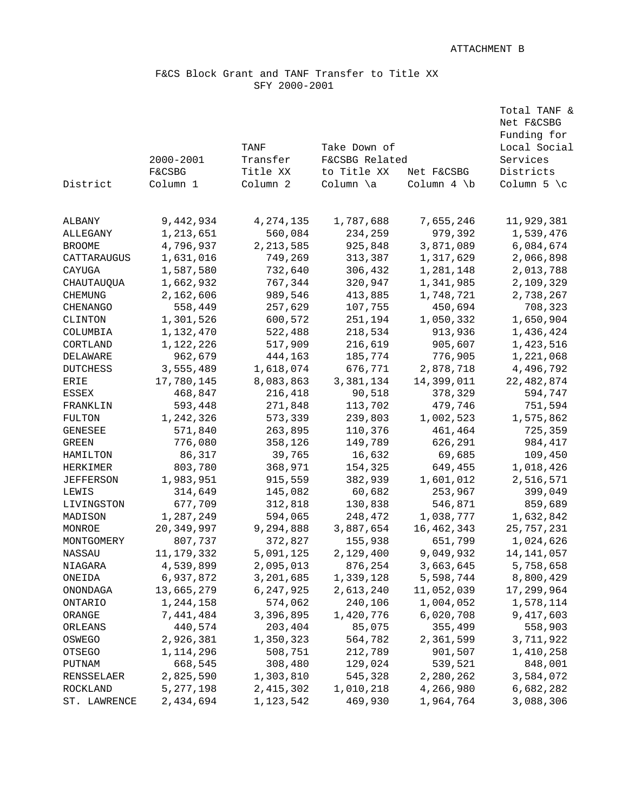Total TANF &

## F&CS Block Grant and TANF Transfer to Title XX SFY 2000-2001

|                  |                   |             |                                |                | Net F&CSBG       |
|------------------|-------------------|-------------|--------------------------------|----------------|------------------|
|                  |                   |             |                                |                | Funding for      |
|                  |                   | TANF        | Take Down of<br>F&CSBG Related |                | Local Social     |
|                  | 2000-2001         | Transfer    |                                |                | Services         |
|                  | <b>F&amp;CSBG</b> | Title XX    | to Title XX                    | Net F&CSBG     | Districts        |
| District         | Column 1          | Column 2    | Column \a                      | Column $4 \ b$ | Column $5 \le c$ |
|                  |                   |             |                                |                |                  |
| ALBANY           | 9,442,934         | 4, 274, 135 | 1,787,688                      | 7,655,246      | 11,929,381       |
| ALLEGANY         | 1,213,651         | 560,084     | 234,259                        | 979,392        | 1,539,476        |
| <b>BROOME</b>    | 4,796,937         | 2, 213, 585 | 925,848                        | 3,871,089      | 6,084,674        |
| CATTARAUGUS      | 1,631,016         | 749,269     | 313,387                        | 1,317,629      | 2,066,898        |
| CAYUGA           | 1,587,580         | 732,640     | 306,432                        | 1,281,148      | 2,013,788        |
| CHAUTAUQUA       | 1,662,932         | 767,344     | 320,947                        | 1,341,985      | 2,109,329        |
| <b>CHEMUNG</b>   | 2,162,606         | 989,546     | 413,885                        | 1,748,721      | 2,738,267        |
| <b>CHENANGO</b>  | 558,449           | 257,629     | 107,755                        | 450,694        | 708,323          |
| CLINTON          | 1,301,526         | 600,572     | 251,194                        | 1,050,332      | 1,650,904        |
| COLUMBIA         | 1,132,470         | 522,488     | 218,534                        | 913,936        | 1,436,424        |
| CORTLAND         | 1,122,226         | 517,909     | 216,619                        | 905,607        | 1,423,516        |
| DELAWARE         | 962,679           | 444,163     | 185,774                        | 776,905        | 1,221,068        |
| <b>DUTCHESS</b>  | 3,555,489         | 1,618,074   | 676,771                        | 2,878,718      | 4,496,792        |
| ERIE             | 17,780,145        | 8,083,863   | 3,381,134                      | 14,399,011     | 22, 482, 874     |
| ESSEX            | 468,847           | 216,418     | 90,518                         | 378,329        | 594,747          |
| FRANKLIN         | 593,448           | 271,848     | 113,702                        | 479,746        | 751,594          |
| FULTON           | 1,242,326         | 573,339     | 239,803                        | 1,002,523      | 1,575,862        |
| GENESEE          | 571,840           | 263,895     | 110,376                        | 461,464        | 725,359          |
| <b>GREEN</b>     | 776,080           | 358,126     | 149,789                        | 626,291        | 984,417          |
| HAMILTON         | 86,317            | 39,765      | 16,632                         | 69,685         | 109,450          |
| HERKIMER         | 803,780           | 368,971     | 154,325                        | 649,455        | 1,018,426        |
| <b>JEFFERSON</b> | 1,983,951         | 915,559     | 382,939                        | 1,601,012      | 2,516,571        |
| LEWIS            | 314,649           | 145,082     | 60,682                         | 253,967        | 399,049          |
| LIVINGSTON       | 677,709           | 312,818     | 130,838                        | 546,871        | 859,689          |
| MADISON          | 1,287,249         | 594,065     | 248,472                        | 1,038,777      | 1,632,842        |
| MONROE           | 20,349,997        | 9,294,888   | 3,887,654                      | 16, 462, 343   | 25,757,231       |
| MONTGOMERY       | 807,737           | 372,827     | 155,938                        | 651,799        | 1,024,626        |
| NASSAU           | 11, 179, 332      | 5,091,125   | 2,129,400                      | 9,049,932      | 14, 141, 057     |
| NIAGARA          | 4,539,899         | 2,095,013   | 876,254                        | 3,663,645      | 5,758,658        |
| ONEIDA           | 6,937,872         | 3,201,685   | 1,339,128                      | 5,598,744      | 8,800,429        |
| ONONDAGA         | 13,665,279        | 6, 247, 925 | 2,613,240                      | 11,052,039     | 17,299,964       |
| ONTARIO          | 1,244,158         | 574,062     | 240,106                        | 1,004,052      | 1,578,114        |
| ORANGE           | 7,441,484         | 3,396,895   | 1,420,776                      | 6,020,708      | 9,417,603        |
| ORLEANS          | 440,574           | 203,404     | 85,075                         | 355,499        | 558,903          |
| OSWEGO           | 2,926,381         | 1,350,323   | 564,782                        | 2,361,599      | 3,711,922        |
| OTSEGO           | 1, 114, 296       | 508,751     | 212,789                        | 901,507        | 1,410,258        |
| PUTNAM           | 668,545           | 308,480     | 129,024                        | 539,521        | 848,001          |
| RENSSELAER       | 2,825,590         | 1,303,810   | 545,328                        | 2,280,262      | 3,584,072        |
| ROCKLAND         | 5, 277, 198       | 2, 415, 302 | 1,010,218                      | 4,266,980      | 6,682,282        |
| ST. LAWRENCE     | 2,434,694         | 1,123,542   | 469,930                        | 1,964,764      | 3,088,306        |